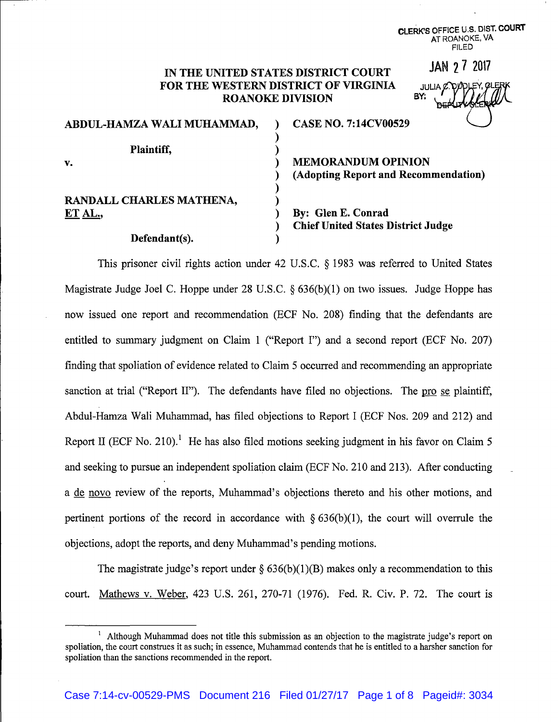# IN THE UNITED STATES DISTRICT COURT FOR THE WESTERN DISTRICT OF VIRGINIA **ROANOKE DIVISION**

| ABDUL-HAMZA WALI MUHAMMAD,          | <b>CASE NO. 7:14CV00529</b>                                       |
|-------------------------------------|-------------------------------------------------------------------|
| Plaintiff,<br>v.                    | <b>MEMORANDUM OPINION</b><br>(Adopting Report and Recommendation) |
| RANDALL CHARLES MATHENA,<br>ET AL., | By: Glen E. Conrad                                                |
| Defendant(s).                       | <b>Chief United States District Judge</b>                         |

This prisoner civil rights action under 42 U.S.C. § 1983 was referred to United States Magistrate Judge Joel C. Hoppe under 28 U.S.C. § 636(b)(1) on two issues. Judge Hoppe has now issued one report and recommendation (ECF No. 208) finding that the defendants are entitled to summary judgment on Claim 1 ("Report I") and a second report (ECF No. 207) finding that spoliation of evidence related to Claim 5 occurred and recommending an appropriate sanction at trial ("Report II"). The defendants have filed no objections. The pro se plaintiff, Abdul-Hamza Wali Muhammad, has filed objections to Report I (ECF Nos. 209 and 212) and Report II (ECF No. 210).<sup>1</sup> He has also filed motions seeking judgment in his favor on Claim 5 and seeking to pursue an independent spoliation claim (ECF No. 210 and 213). After conducting a de novo review of the reports, Muhammad's objections thereto and his other motions, and pertinent portions of the record in accordance with  $\S 636(b)(1)$ , the court will overrule the objections, adopt the reports, and deny Muhammad's pending motions.

The magistrate judge's report under  $\S$  636(b)(1)(B) makes only a recommendation to this court. Mathews v. Weber, 423 U.S. 261, 270-71 (1976). Fed. R. Civ. P. 72. The court is

CLERK'S OFFICE U.S. DIST. COURT AT ROANOKE, VA **FILED** 

JAN 27 2017

**JULIA C. DIODLEY, QI** 

<sup>&</sup>lt;sup>1</sup> Although Muhammad does not title this submission as an objection to the magistrate judge's report on spoliation, the court construes it as such; in essence, Muhammad contends that he is entitled to a harsher sanction for spoliation than the sanctions recommended in the report.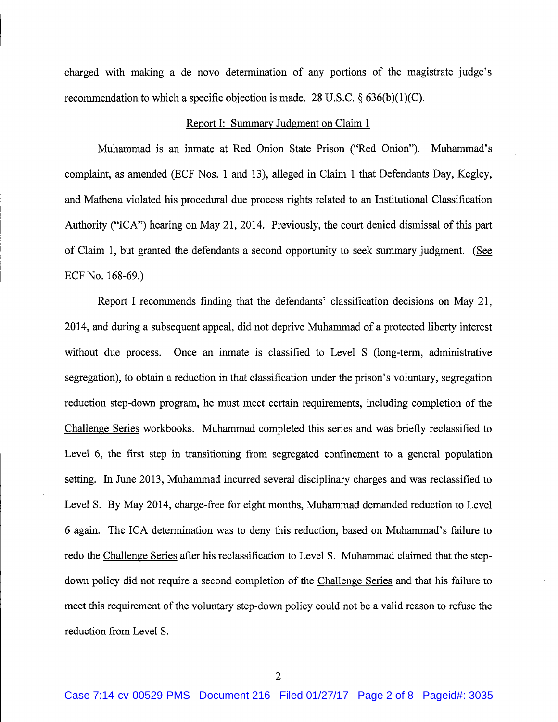charged with making a de novo determination of any portions of the magistrate judge's recommendation to which a specific objection is made. 28 U.S.C.  $\S 636(b)(1)(C)$ .

#### Report I: Summary Judgment on Claim 1

Muhammad is an inmate at Red Onion State Prison ("Red Onion"). Muhammad's complaint, as amended (ECF Nos. 1 and 13), alleged in Claim 1 that Defendants Day, Kegley, and Mathena violated his procedural due process rights related to an Institutional Classification Authority ("ICA") hearing on May 21, 2014. Previously, the court denied dismissal of this part of Claim 1, but granted the defendants a second opportunity to seek summary judgment. (See ECF No. 168-69.)

Report I recommends finding that the defendants' classification decisions on May 21, 2014, and during a subsequent appeal, did not deprive Muhammad of a protected liberty interest without due process. Once an inmate is classified to Level S (long-term, administrative segregation), to obtain a reduction in that classification under the prison's voluntary, segregation reduction step-down program, he must meet certain requirements, including completion of the Challenge Series workbooks. Muhammad completed this series and was briefly reclassified to Level 6, the first step in transitioning from segregated confinement to a general population setting. In June 2013, Muhammad incurred several disciplinary charges and was reclassified to Level S. By May 2014, charge-free for eight months, Muhammad demanded reduction to Level 6 again. The ICA determination was to deny this reduction, based on Muhammad's failure to redo the Challenge Series after his reclassification to Level S. Muhammad claimed that the stepdown policy did not require a second completion of the Challenge Series and that his failure to meet this requirement of the voluntary step-down policy could not be a valid reason to refuse the reduction from Level S.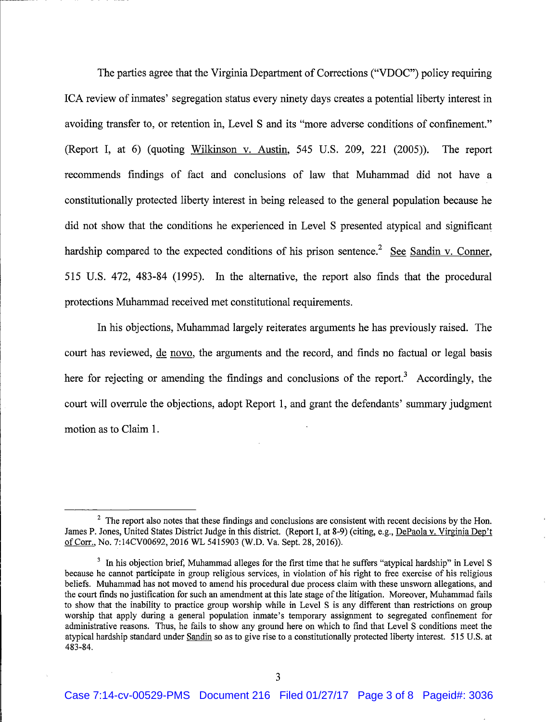The parties agree that the Virginia Department of Corrections ("VDOC") policy requiring ICA review of inmates' segregation status every ninety days creates a potential liberty interest in avoiding transfer to, or retention in, Level S and its "more adverse conditions of confinement." (Report I, at 6) (quoting Wilkinson v. Austin, 545 U.S. 209, 221 (2005)). The report recommends findings of fact and conclusions of law that Muhammad did not have a constitutionally protected liberty interest in being released to the general population because he did not show that the conditions he experienced in Level S presented atypical and significant hardship compared to the expected conditions of his prison sentence.<sup>2</sup> See Sandin v. Conner, 515 U.S. 472, 483-84 (1995). In the alternative, the report also finds that the procedural protections Muhammad received met constitutional requirements.

In his objections, Muhammad largely reiterates arguments he has previously raised. The court has reviewed, de novo, the arguments and the record, and finds no factual or legal basis here for rejecting or amending the findings and conclusions of the report.<sup>3</sup> Accordingly, the court will overrule the objections, adopt Report 1, and grant the defendants' summary judgment motion as to Claim 1.

 $2\degree$  The report also notes that these findings and conclusions are consistent with recent decisions by the Hon. James P. Jones, United States District Judge in this district. (Report I, at 8-9) (citing, e.g., DePaola v. Virginia Dep't of Corr., No. 7:14CV00692, 2016 WL 5415903 (W.D. Va. Sept. 28, 2016)).

<sup>&</sup>lt;sup>3</sup> In his objection brief, Muhammad alleges for the first time that he suffers "atypical hardship" in Level S because he cannot participate in group religious services, in violation of his right to free exercise of his religious beliefs. Muhammad has not moved to amend his procedural due process claim with these unsworn allegations, and the court finds no justification for such an amendment at this late stage of the litigation. Moreover, Muhammad fails to show that the inability to practice group worship while in Level S is any different than restrictions on group worship that apply during a general population inmate's temporary assignment to segregated confinement for administrative reasons. Thus, he fails to show any ground here on which to find that Level S conditions meet the atypical hardship standard under Sandin so as to give rise to a constitutionally protected liberty interest. 515 U.S. at  $483 - 84$ .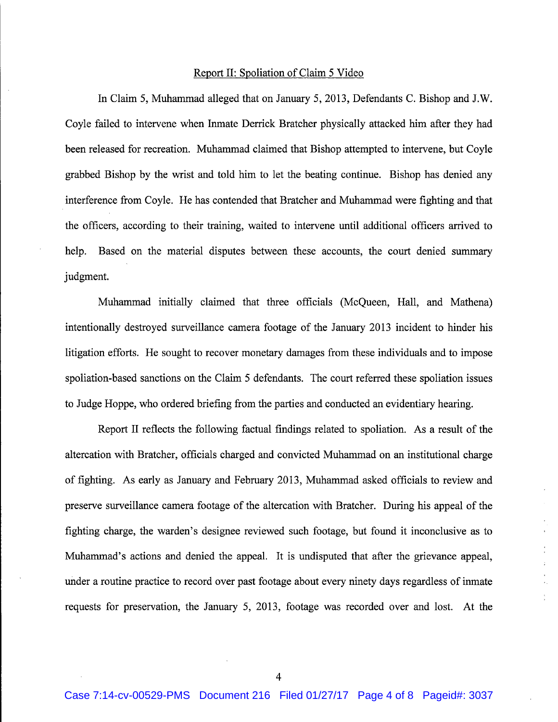#### Report II: Spoliation of Claim 5 Video

I

In Claim 5, Muhammad alleged that on January 5, 2013, Defendants C. Bishop and J.W. Coyle failed to intervene when Inmate Derrick Bratcher physically attacked him after they had been released for recreation. Muhammad claimed that Bishop attempted to intervene, but Coyle grabbed Bishop by the wrist and told him to let the beating continue. Bishop has denied any interference from Coyle. He has contended that Bratcher and Muhammad were fighting and that the officers, according to their training, waited to intervene until additional officers arrived to help. Based on the material disputes between these accounts, the court denied summary judgment.

Muhammad initially claimed that three officials (McOueen, Hall, and Mathena) intentionally destroyed surveillance camera footage of the January 2013 incident to hinder his litigation efforts. He sought to recover monetary damages from these individuals and to impose spoliation-based sanctions on the Claim 5 defendants. The court referred these spoliation issues to Judge Hoppe, who ordered briefing from the parties and conducted an evidentiary hearing.

Report II reflects the following factual findings related to spoliation. As a result of the altercation with Bratcher, officials charged and convicted Muhammad on an institutional charge of fighting. As early as January and February 2013, Muhammad asked officials to review and preserve surveillance camera footage of the altercation with Bratcher. During his appeal of the fighting charge, the warden's designee reviewed such footage, but found it inconclusive as to Muhammad's actions and denied the appeal. It is undisputed that after the grievance appeal, under a routine practice to record over past footage about every ninety days regardless of inmate requests for preservation, the January 5, 2013, footage was recorded over and lost. At the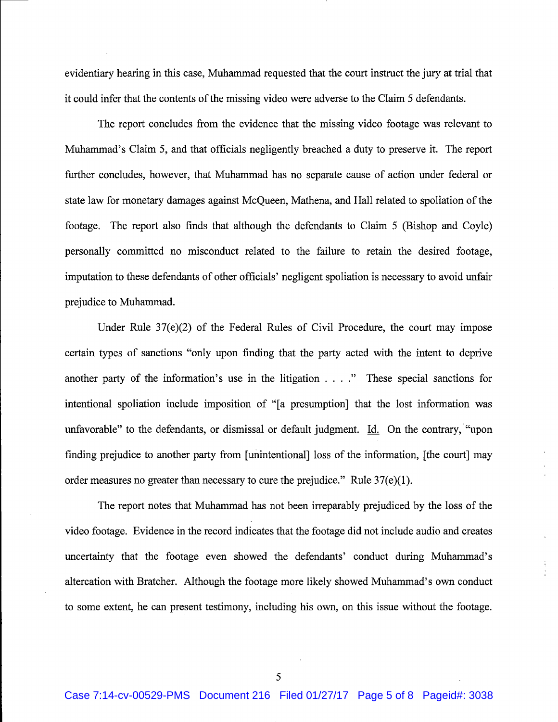evidentiary hearing in this case, Muhammad requested that the court instruct the jury at trial that it could infer that the contents of the missing video were adverse to the Claim 5 defendants.

The report concludes from the evidence that the missing video footage was relevant to Muhammad's Claim 5, and that officials negligently breached a duty to preserve it. The report further concludes, however, that Muhammad has no separate cause of action under federal or state law for monetary damages against McQueen, Mathena, and Hall related to spoliation of the footage. The report also finds that although the defendants to Claim 5 (Bishop and Coyle) personally committed no misconduct related to the failure to retain the desired footage, imputation to these defendants of other officials' negligent spoliation is necessary to avoid unfair prejudice to Muhammad.

Under Rule  $37(e)(2)$  of the Federal Rules of Civil Procedure, the court may impose certain types of sanctions "only upon finding that the party acted with the intent to deprive another party of the information's use in the litigation  $\dots$ ." These special sanctions for intentional spoliation include imposition of "[a presumption] that the lost information was unfavorable" to the defendants, or dismissal or default judgment. Id. On the contrary, "upon finding prejudice to another party from [unintentional] loss of the information, [the court] may order measures no greater than necessary to cure the prejudice." Rule  $37(e)(1)$ .

The report notes that Muhammad has not been irreparably prejudiced by the loss of the video footage. Evidence in the record indicates that the footage did not include audio and creates uncertainty that the footage even showed the defendants' conduct during Muhammad's altercation with Bratcher. Although the footage more likely showed Muhammad's own conduct to some extent, he can present testimony, including his own, on this issue without the footage.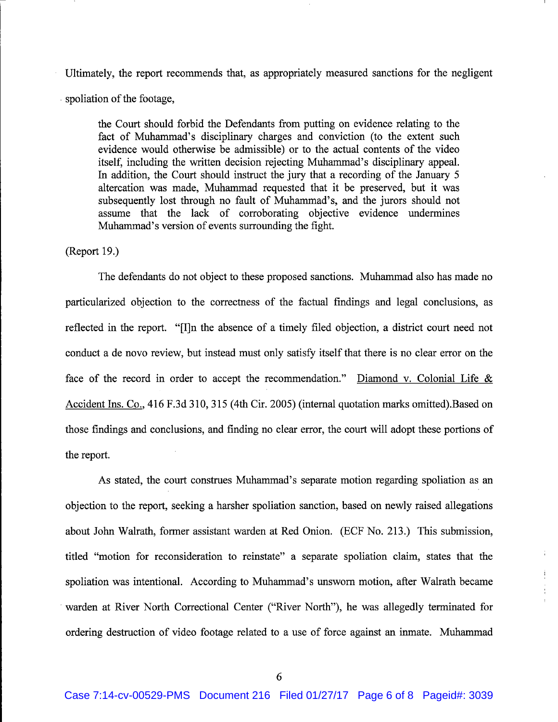Ultimately, the report recommends that, as appropriately measured sanctions for the negligent spoliation of the footage,

the Court should forbid the Defendants from putting on evidence relating to the fact of Muhammad's disciplinary charges and conviction (to the extent such evidence would otherwise be admissible) or to the actual contents of the video itself, including the written decision rejecting Muhammad's disciplinary appeal. In addition, the Court should instruct the jury that a recording of the January 5 altercation was made, Muhammad requested that it be preserved, but it was subsequently lost through no fault of Muhammad's, and the jurors should not assume that the lack of corroborating objective evidence undermines Muhammad's version of events surrounding the fight.

## (Report 19.)

The defendants do not object to these proposed sanctions. Muhammad also has made no particularized objection to the correctness of the factual findings and legal conclusions, as reflected in the report. "[I]n the absence of a timely filed objection, a district court need not conduct a de novo review, but instead must only satisfy itself that there is no clear error on the face of the record in order to accept the recommendation." Diamond v. Colonial Life  $\&$ Accident Ins. Co., 416 F.3d 310, 315 (4th Cir. 2005) (internal quotation marks omitted). Based on those findings and conclusions, and finding no clear error, the court will adopt these portions of the report.

As stated, the court construes Muhammad's separate motion regarding spoliation as an objection to the report, seeking a harsher spoliation sanction, based on newly raised allegations about John Walrath, former assistant warden at Red Onion. (ECF No. 213.) This submission, titled "motion for reconsideration to reinstate" a separate spoliation claim, states that the spoliation was intentional. According to Muhammad's unsworn motion, after Walrath became warden at River North Correctional Center ("River North"), he was allegedly terminated for ordering destruction of video footage related to a use of force against an inmate. Muhammad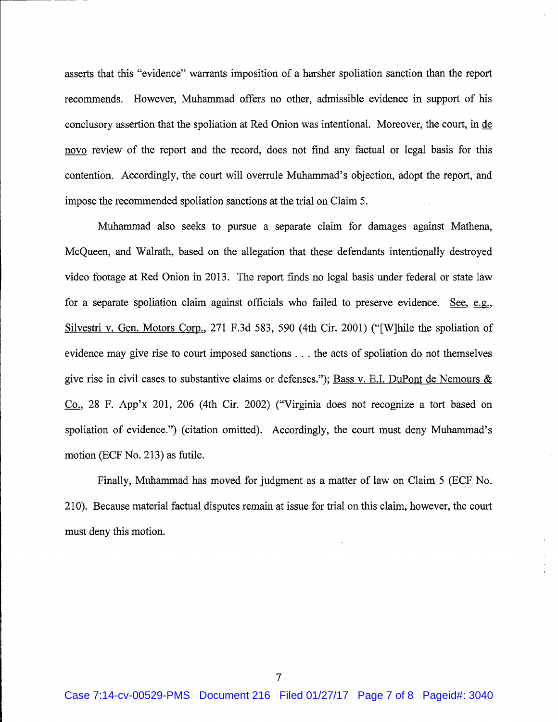asserts that this "evidence" warrants imposition of a harsher spoliation sanction than the report recommends. However, Muhammad offers no other, admissible evidence in support of his conclusory assertion that the spoliation at Red Onion was intentional. Moreover, the court, in de novo review of the report and the record, does not find any factual or legal basis for this contention. Accordingly, the court will overrule Muhammad's objection, adopt the report, and impose the recommended spoliation sanctions at the trial on Claim 5.

Muhammad also seeks to pursue a separate claim for damages against Mathena, McQueen, and Walrath, based on the allegation that these defendants intentionally destroyed video footage at Red Onion in 2013. The report finds no legal basis under federal or state law for a separate spoliation claim against officials who failed to preserve evidence. See, e.g., Silvestri v. Gen. Motors Corp., 271 F.3d 583, 590 (4th Cir. 2001) ("[W]hile the spoliation of evidence may give rise to court imposed sanctions . . . the acts of spoliation do not themselves give rise in civil cases to substantive claims or defenses."); Bass v. E.I. DuPont de Nemours & Co., 28 F. App'x 201, 206 (4th Cir. 2002) ("Virginia does not recognize a tort based on spoliation of evidence.") (citation omitted). Accordingly, the court must deny Muhammad's motion (ECF No. 213) as futile.

Finally, Muhammad has moved for judgment as a matter of law on Claim 5 (ECF No. 210). Because material factual disputes remain at issue for trial on this claim, however, the court must deny this motion.